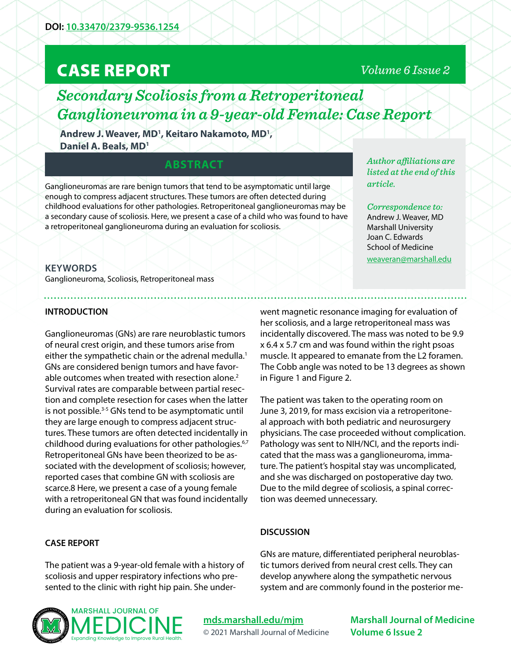# CASE REPORT

### *Volume 6 Issue 2*

# *Secondary Scoliosis from a Retroperitoneal Ganglioneuroma in a 9-year-old Female: Case Report*

Andrew J. Weaver, MD<sup>1</sup>, Keitaro Nakamoto, MD<sup>1</sup>, **Daniel A. Beals, MD1**

## **ABSTRACT**

Ganglioneuromas are rare benign tumors that tend to be asymptomatic until large enough to compress adjacent structures. These tumors are often detected during childhood evaluations for other pathologies. Retroperitoneal ganglioneuromas may be a secondary cause of scoliosis. Here, we present a case of a child who was found to have a retroperitoneal ganglioneuroma during an evaluation for scoliosis.

*Author affiliations are listed at the end of this article.* 

*Correspondence to:*  Andrew J. Weaver, MD Marshall University Joan C. Edwards School of Medicine [weaveran@marshall.edu](mailto:weaveran%40marshall.edu?subject=)

#### **KEYWORDS**

Ganglioneuroma, Scoliosis, Retroperitoneal mass

#### **INTRODUCTION**

Ganglioneuromas (GNs) are rare neuroblastic tumors of neural crest origin, and these tumors arise from either the sympathetic chain or the adrenal medulla.<sup>1</sup> GNs are considered benign tumors and have favorable outcomes when treated with resection alone.<sup>2</sup> Survival rates are comparable between partial resection and complete resection for cases when the latter is not possible.<sup>3-5</sup> GNs tend to be asymptomatic until they are large enough to compress adjacent structures. These tumors are often detected incidentally in childhood during evaluations for other pathologies.<sup>6,7</sup> Retroperitoneal GNs have been theorized to be associated with the development of scoliosis; however, reported cases that combine GN with scoliosis are scarce.8 Here, we present a case of a young female with a retroperitoneal GN that was found incidentally during an evaluation for scoliosis.

#### **CASE REPORT**

The patient was a 9-year-old female with a history of scoliosis and upper respiratory infections who presented to the clinic with right hip pain. She under-



went magnetic resonance imaging for evaluation of her scoliosis, and a large retroperitoneal mass was incidentally discovered. The mass was noted to be 9.9 x 6.4 x 5.7 cm and was found within the right psoas muscle. It appeared to emanate from the L2 foramen. The Cobb angle was noted to be 13 degrees as shown in Figure 1 and Figure 2.

The patient was taken to the operating room on June 3, 2019, for mass excision via a retroperitoneal approach with both pediatric and neurosurgery physicians. The case proceeded without complication. Pathology was sent to NIH/NCI, and the reports indicated that the mass was a ganglioneuroma, immature. The patient's hospital stay was uncomplicated, and she was discharged on postoperative day two. Due to the mild degree of scoliosis, a spinal correction was deemed unnecessary.

#### **DISCUSSION**

GNs are mature, differentiated peripheral neuroblastic tumors derived from neural crest cells. They can develop anywhere along the sympathetic nervous system and are commonly found in the posterior me-

**[mds.marshall.edu/mjm](https://mds.marshall.edu/mjm/)** © 2021 Marshall Journal of Medicine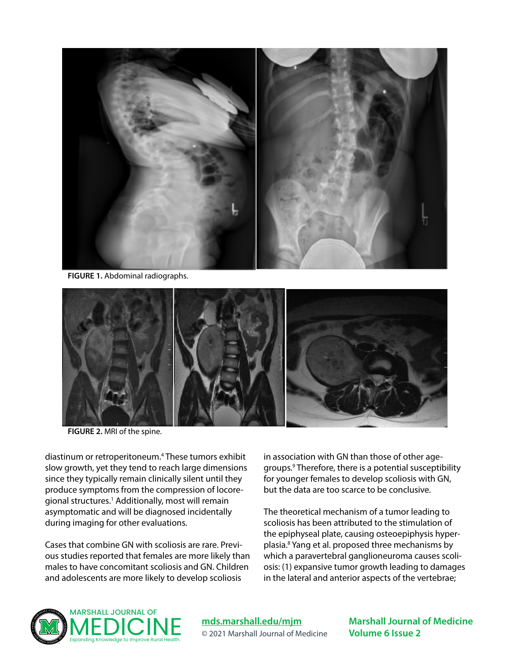

**FIGURE 1.** Abdominal radiographs.



**FIGURE 2.** MRI of the spine.

diastinum or retroperitoneum.4 These tumors exhibit slow growth, yet they tend to reach large dimensions since they typically remain clinically silent until they produce symptoms from the compression of locoregional structures.<sup>1</sup> Additionally, most will remain asymptomatic and will be diagnosed incidentally during imaging for other evaluations.

Cases that combine GN with scoliosis are rare. Previous studies reported that females are more likely than males to have concomitant scoliosis and GN. Children and adolescents are more likely to develop scoliosis

in association with GN than those of other agegroups.9 Therefore, there is a potential susceptibility for younger females to develop scoliosis with GN, but the data are too scarce to be conclusive.

The theoretical mechanism of a tumor leading to scoliosis has been attributed to the stimulation of the epiphyseal plate, causing osteoepiphysis hyperplasia.8 Yang et al. proposed three mechanisms by which a paravertebral ganglioneuroma causes scoliosis: (1) expansive tumor growth leading to damages in the lateral and anterior aspects of the vertebrae;



**[mds.marshall.edu/mjm](https://mds.marshall.edu/mjm/)** © 2021 Marshall Journal of Medicine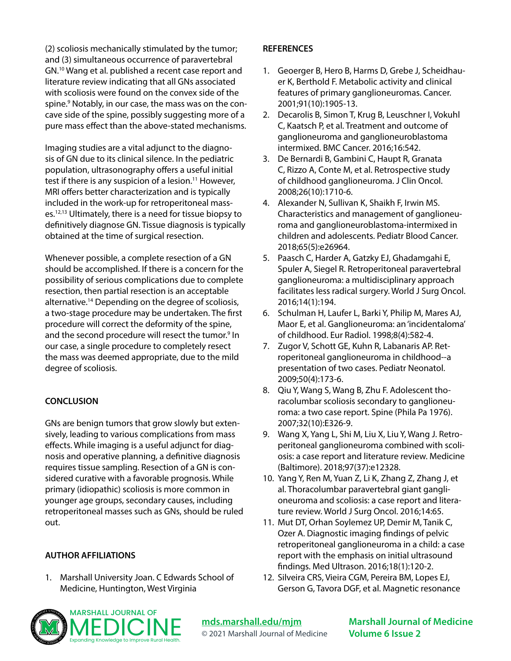(2) scoliosis mechanically stimulated by the tumor; and (3) simultaneous occurrence of paravertebral GN.10 Wang et al. published a recent case report and literature review indicating that all GNs associated with scoliosis were found on the convex side of the spine.<sup>9</sup> Notably, in our case, the mass was on the concave side of the spine, possibly suggesting more of a pure mass effect than the above-stated mechanisms.

Imaging studies are a vital adjunct to the diagnosis of GN due to its clinical silence. In the pediatric population, ultrasonography offers a useful initial test if there is any suspicion of a lesion.<sup>11</sup> However, MRI offers better characterization and is typically included in the work-up for retroperitoneal masses.12,13 Ultimately, there is a need for tissue biopsy to definitively diagnose GN. Tissue diagnosis is typically obtained at the time of surgical resection.

Whenever possible, a complete resection of a GN should be accomplished. If there is a concern for the possibility of serious complications due to complete resection, then partial resection is an acceptable alternative.14 Depending on the degree of scoliosis, a two-stage procedure may be undertaken. The first procedure will correct the deformity of the spine, and the second procedure will resect the tumor.<sup>9</sup> In our case, a single procedure to completely resect the mass was deemed appropriate, due to the mild degree of scoliosis.

### **CONCLUSION**

GNs are benign tumors that grow slowly but extensively, leading to various complications from mass effects. While imaging is a useful adjunct for diagnosis and operative planning, a definitive diagnosis requires tissue sampling. Resection of a GN is considered curative with a favorable prognosis. While primary (idiopathic) scoliosis is more common in younger age groups, secondary causes, including retroperitoneal masses such as GNs, should be ruled out.

#### **AUTHOR AFFILIATIONS**

1. Marshall University Joan. C Edwards School of Medicine, Huntington, West Virginia

#### **REFERENCES**

- 1. Geoerger B, Hero B, Harms D, Grebe J, Scheidhauer K, Berthold F. Metabolic activity and clinical features of primary ganglioneuromas. Cancer. 2001;91(10):1905-13.
- 2. Decarolis B, Simon T, Krug B, Leuschner I, Vokuhl C, Kaatsch P, et al. Treatment and outcome of ganglioneuroma and ganglioneuroblastoma intermixed. BMC Cancer. 2016;16:542.
- 3. De Bernardi B, Gambini C, Haupt R, Granata C, Rizzo A, Conte M, et al. Retrospective study of childhood ganglioneuroma. J Clin Oncol. 2008;26(10):1710-6.
- 4. Alexander N, Sullivan K, Shaikh F, Irwin MS. Characteristics and management of ganglioneuroma and ganglioneuroblastoma-intermixed in children and adolescents. Pediatr Blood Cancer. 2018;65(5):e26964.
- 5. Paasch C, Harder A, Gatzky EJ, Ghadamgahi E, Spuler A, Siegel R. Retroperitoneal paravertebral ganglioneuroma: a multidisciplinary approach facilitates less radical surgery. World J Surg Oncol. 2016;14(1):194.
- 6. Schulman H, Laufer L, Barki Y, Philip M, Mares AJ, Maor E, et al. Ganglioneuroma: an 'incidentaloma' of childhood. Eur Radiol. 1998;8(4):582-4.
- 7. Zugor V, Schott GE, Kuhn R, Labanaris AP. Retroperitoneal ganglioneuroma in childhood--a presentation of two cases. Pediatr Neonatol. 2009;50(4):173-6.
- 8. Qiu Y, Wang S, Wang B, Zhu F. Adolescent thoracolumbar scoliosis secondary to ganglioneuroma: a two case report. Spine (Phila Pa 1976). 2007;32(10):E326-9.
- 9. Wang X, Yang L, Shi M, Liu X, Liu Y, Wang J. Retroperitoneal ganglioneuroma combined with scoliosis: a case report and literature review. Medicine (Baltimore). 2018;97(37):e12328.
- 10. Yang Y, Ren M, Yuan Z, Li K, Zhang Z, Zhang J, et al. Thoracolumbar paravertebral giant ganglioneuroma and scoliosis: a case report and literature review. World J Surg Oncol. 2016;14:65.
- 11. Mut DT, Orhan Soylemez UP, Demir M, Tanik C, Ozer A. Diagnostic imaging findings of pelvic retroperitoneal ganglioneuroma in a child: a case report with the emphasis on initial ultrasound findings. Med Ultrason. 2016;18(1):120-2.
- 12. Silveira CRS, Vieira CGM, Pereira BM, Lopes EJ, Gerson G, Tavora DGF, et al. Magnetic resonance



**[mds.marshall.edu/mjm](https://mds.marshall.edu/mjm/)** © 2021 Marshall Journal of Medicine